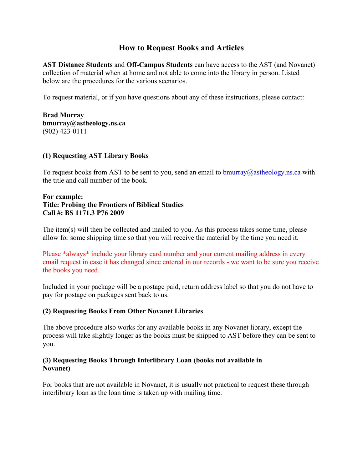# **How to Request Books and Articles**

**AST Distance Students** and **Off-Campus Students** can have access to the AST (and Novanet) collection of material when at home and not able to come into the library in person. Listed below are the procedures for the various scenarios.

To request material, or if you have questions about any of these instructions, please contact:

**Brad Murray bmurray@astheology.ns.ca** (902) 423-0111

#### **(1) Requesting AST Library Books**

To request books from AST to be sent to you, send an email to  $\frac{b_{\text{m}}}{2}$  as the ology.ns.ca with the title and call number of the book.

#### **For example: Title: Probing the Frontiers of Biblical Studies Call #: BS 1171.3 P76 2009**

The item(s) will then be collected and mailed to you. As this process takes some time, please allow for some shipping time so that you will receive the material by the time you need it.

Please \*always\* include your library card number and your current mailing address in every email request in case it has changed since entered in our records - we want to be sure you receive the books you need.

Included in your package will be a postage paid, return address label so that you do not have to pay for postage on packages sent back to us.

## **(2) Requesting Books From Other Novanet Libraries**

The above procedure also works for any available books in any Novanet library, except the process will take slightly longer as the books must be shipped to AST before they can be sent to you.

## **(3) Requesting Books Through Interlibrary Loan (books not available in Novanet)**

For books that are not available in Novanet, it is usually not practical to request these through interlibrary loan as the loan time is taken up with mailing time.